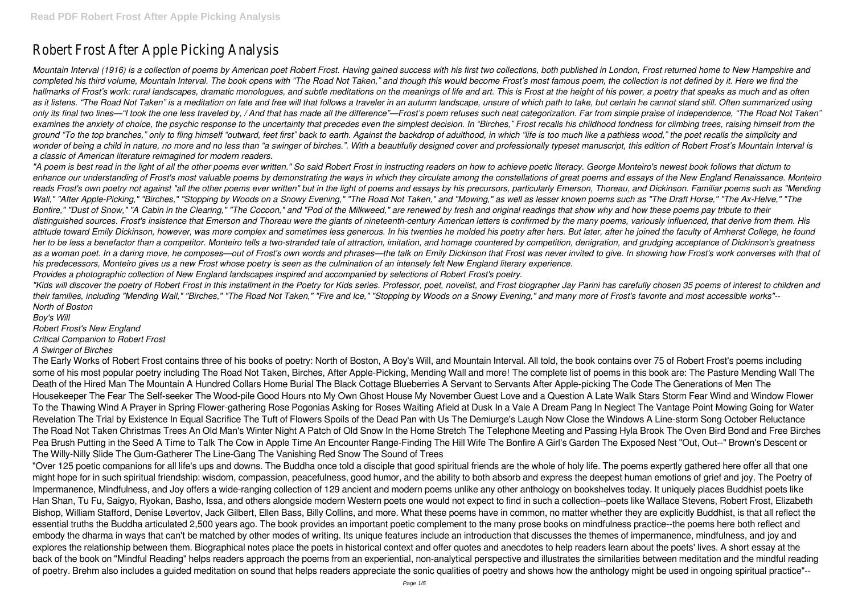# Robert Frost After Apple Picking Analysis

*Mountain Interval (1916) is a collection of poems by American poet Robert Frost. Having gained success with his first two collections, both published in London, Frost returned home to New Hampshire and completed his third volume, Mountain Interval. The book opens with "The Road Not Taken," and though this would become Frost's most famous poem, the collection is not defined by it. Here we find the hallmarks of Frost's work: rural landscapes, dramatic monologues, and subtle meditations on the meanings of life and art. This is Frost at the height of his power, a poetry that speaks as much and as often as it listens. "The Road Not Taken" is a meditation on fate and free will that follows a traveler in an autumn landscape, unsure of which path to take, but certain he cannot stand still. Often summarized using only its final two lines—"I took the one less traveled by, / And that has made all the difference"—Frost's poem refuses such neat categorization. Far from simple praise of independence, "The Road Not Taken"* examines the anxiety of choice, the psychic response to the uncertainty that precedes even the simplest decision. In "Birches," Frost recalls his childhood fondness for climbing trees, raising himself from the *ground "To the top branches," only to fling himself "outward, feet first" back to earth. Against the backdrop of adulthood, in which "life is too much like a pathless wood," the poet recalls the simplicity and wonder of being a child in nature, no more and no less than "a swinger of birches.". With a beautifully designed cover and professionally typeset manuscript, this edition of Robert Frost's Mountain Interval is a classic of American literature reimagined for modern readers.*

*"A poem is best read in the light of all the other poems ever written." So said Robert Frost in instructing readers on how to achieve poetic literacy. George Monteiro's newest book follows that dictum to enhance our understanding of Frost's most valuable poems by demonstrating the ways in which they circulate among the constellations of great poems and essays of the New England Renaissance. Monteiro reads Frost's own poetry not against "all the other poems ever written" but in the light of poems and essays by his precursors, particularly Emerson, Thoreau, and Dickinson. Familiar poems such as "Mending Wall," "After Apple-Picking," "Birches," "Stopping by Woods on a Snowy Evening," "The Road Not Taken," and "Mowing," as well as lesser known poems such as "The Draft Horse," "The Ax-Helve," "The Bonfire," "Dust of Snow," "A Cabin in the Clearing," "The Cocoon," and "Pod of the Milkweed," are renewed by fresh and original readings that show why and how these poems pay tribute to their distinguished sources. Frost's insistence that Emerson and Thoreau were the giants of nineteenth-century American letters is confirmed by the many poems, variously influenced, that derive from them. His attitude toward Emily Dickinson, however, was more complex and sometimes less generous. In his twenties he molded his poetry after hers. But later, after he joined the faculty of Amherst College, he found her to be less a benefactor than a competitor. Monteiro tells a two-stranded tale of attraction, imitation, and homage countered by competition, denigration, and grudging acceptance of Dickinson's greatness as a woman poet. In a daring move, he composes—out of Frost's own words and phrases—the talk on Emily Dickinson that Frost was never invited to give. In showing how Frost's work converses with that of his predecessors, Monteiro gives us a new Frost whose poetry is seen as the culmination of an intensely felt New England literary experience. Provides a photographic collection of New England landscapes inspired and accompanied by selections of Robert Frost's poetry.*

*"Kids will discover the poetry of Robert Frost in this installment in the Poetry for Kids series. Professor, poet, novelist, and Frost biographer Jay Parini has carefully chosen 35 poems of interest to children and their families, including "Mending Wall," "Birches," "The Road Not Taken," "Fire and Ice," "Stopping by Woods on a Snowy Evening," and many more of Frost's favorite and most accessible works"-- North of Boston*

*Boy's Will Robert Frost's New England Critical Companion to Robert Frost A Swinger of Birches*

The Early Works of Robert Frost contains three of his books of poetry: North of Boston, A Boy's Will, and Mountain Interval. All told, the book contains over 75 of Robert Frost's poems including some of his most popular poetry including The Road Not Taken, Birches, After Apple-Picking, Mending Wall and more! The complete list of poems in this book are: The Pasture Mending Wall The Death of the Hired Man The Mountain A Hundred Collars Home Burial The Black Cottage Blueberries A Servant to Servants After Apple-picking The Code The Generations of Men The Housekeeper The Fear The Self-seeker The Wood-pile Good Hours nto My Own Ghost House My November Guest Love and a Question A Late Walk Stars Storm Fear Wind and Window Flower To the Thawing Wind A Prayer in Spring Flower-gathering Rose Pogonias Asking for Roses Waiting Afield at Dusk In a Vale A Dream Pang In Neglect The Vantage Point Mowing Going for Water Revelation The Trial by Existence In Equal Sacrifice The Tuft of Flowers Spoils of the Dead Pan with Us The Demiurge's Laugh Now Close the Windows A Line-storm Song October Reluctance The Road Not Taken Christmas Trees An Old Man's Winter Night A Patch of Old Snow In the Home Stretch The Telephone Meeting and Passing Hyla Brook The Oven Bird Bond and Free Birches Pea Brush Putting in the Seed A Time to Talk The Cow in Apple Time An Encounter Range-Finding The Hill Wife The Bonfire A Girl's Garden The Exposed Nest "Out, Out--" Brown's Descent or The Willy-Nilly Slide The Gum-Gatherer The Line-Gang The Vanishing Red Snow The Sound of Trees

"Over 125 poetic companions for all life's ups and downs. The Buddha once told a disciple that good spiritual friends are the whole of holy life. The poems expertly gathered here offer all that one might hope for in such spiritual friendship: wisdom, compassion, peacefulness, good humor, and the ability to both absorb and express the deepest human emotions of grief and joy. The Poetry of Impermanence, Mindfulness, and Joy offers a wide-ranging collection of 129 ancient and modern poems unlike any other anthology on bookshelves today. It uniquely places Buddhist poets like Han Shan, Tu Fu, Saigyo, Ryokan, Basho, Issa, and others alongside modern Western poets one would not expect to find in such a collection--poets like Wallace Stevens, Robert Frost, Elizabeth Bishop, William Stafford, Denise Levertov, Jack Gilbert, Ellen Bass, Billy Collins, and more. What these poems have in common, no matter whether they are explicitly Buddhist, is that all reflect the essential truths the Buddha articulated 2,500 years ago. The book provides an important poetic complement to the many prose books on mindfulness practice--the poems here both reflect and embody the dharma in ways that can't be matched by other modes of writing. Its unique features include an introduction that discusses the themes of impermanence, mindfulness, and joy and explores the relationship between them. Biographical notes place the poets in historical context and offer quotes and anecdotes to help readers learn about the poets' lives. A short essay at the back of the book on "Mindful Reading" helps readers approach the poems from an experiential, non-analytical perspective and illustrates the similarities between meditation and the mindful reading of poetry. Brehm also includes a guided meditation on sound that helps readers appreciate the sonic qualities of poetry and shows how the anthology might be used in ongoing spiritual practice"--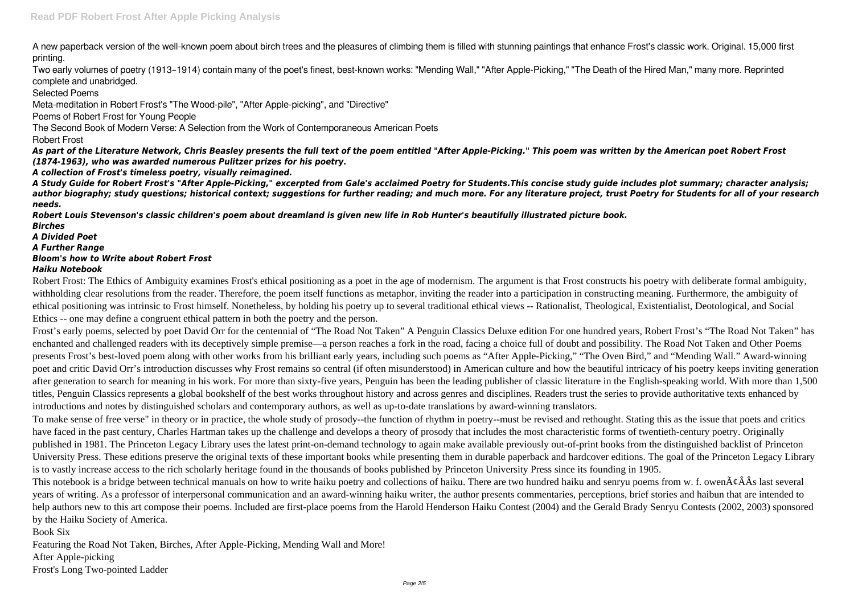A new paperback version of the well-known poem about birch trees and the pleasures of climbing them is filled with stunning paintings that enhance Frost's classic work. Original. 15,000 first printing.

Two early volumes of poetry (1913–1914) contain many of the poet's finest, best-known works: "Mending Wall," "After Apple-Picking," "The Death of the Hired Man," many more. Reprinted complete and unabridged.

Selected Poems

Meta-meditation in Robert Frost's "The Wood-pile", "After Apple-picking", and "Directive"

Poems of Robert Frost for Young People

The Second Book of Modern Verse: A Selection from the Work of Contemporaneous American Poets

Robert Frost

*As part of the Literature Network, Chris Beasley presents the full text of the poem entitled "After Apple-Picking." This poem was written by the American poet Robert Frost (1874-1963), who was awarded numerous Pulitzer prizes for his poetry.*

*A collection of Frost's timeless poetry, visually reimagined.*

Robert Frost: The Ethics of Ambiguity examines Frost's ethical positioning as a poet in the age of modernism. The argument is that Frost constructs his poetry with deliberate formal ambiguity, withholding clear resolutions from the reader. Therefore, the poem itself functions as metaphor, inviting the reader into a participation in constructing meaning. Furthermore, the ambiguity of ethical positioning was intrinsic to Frost himself. Nonetheless, by holding his poetry up to several traditional ethical views -- Rationalist, Theological, Existentialist, Deotological, and Social Ethics -- one may define a congruent ethical pattern in both the poetry and the person.

*A Study Guide for Robert Frost's "After Apple-Picking," excerpted from Gale's acclaimed Poetry for Students.This concise study guide includes plot summary; character analysis; author biography; study questions; historical context; suggestions for further reading; and much more. For any literature project, trust Poetry for Students for all of your research needs.*

*Robert Louis Stevenson's classic children's poem about dreamland is given new life in Rob Hunter's beautifully illustrated picture book. Birches*

*A Divided Poet A Further Range Bloom's how to Write about Robert Frost Haiku Notebook*

Frost's early poems, selected by poet David Orr for the centennial of "The Road Not Taken" A Penguin Classics Deluxe edition For one hundred years, Robert Frost's "The Road Not Taken" has enchanted and challenged readers with its deceptively simple premise—a person reaches a fork in the road, facing a choice full of doubt and possibility. The Road Not Taken and Other Poems presents Frost's best-loved poem along with other works from his brilliant early years, including such poems as "After Apple-Picking," "The Oven Bird," and "Mending Wall." Award-winning poet and critic David Orr's introduction discusses why Frost remains so central (if often misunderstood) in American culture and how the beautiful intricacy of his poetry keeps inviting generation after generation to search for meaning in his work. For more than sixty-five years, Penguin has been the leading publisher of classic literature in the English-speaking world. With more than 1,500 titles, Penguin Classics represents a global bookshelf of the best works throughout history and across genres and disciplines. Readers trust the series to provide authoritative texts enhanced by introductions and notes by distinguished scholars and contemporary authors, as well as up-to-date translations by award-winning translators.

To make sense of free verse" in theory or in practice, the whole study of prosody--the function of rhythm in poetry--must be revised and rethought. Stating this as the issue that poets and critics have faced in the past century, Charles Hartman takes up the challenge and develops a theory of prosody that includes the most characteristic forms of twentieth-century poetry. Originally published in 1981. The Princeton Legacy Library uses the latest print-on-demand technology to again make available previously out-of-print books from the distinguished backlist of Princeton University Press. These editions preserve the original texts of these important books while presenting them in durable paperback and hardcover editions. The goal of the Princeton Legacy Library is to vastly increase access to the rich scholarly heritage found in the thousands of books published by Princeton University Press since its founding in 1905. This notebook is a bridge between technical manuals on how to write haiku poetry and collections of haiku. There are two hundred haiku and senryu poems from w. f. owen $A\phi A\hat{A}$ s last several years of writing. As a professor of interpersonal communication and an award-winning haiku writer, the author presents commentaries, perceptions, brief stories and haibun that are intended to help authors new to this art compose their poems. Included are first-place poems from the Harold Henderson Haiku Contest (2004) and the Gerald Brady Senryu Contests (2002, 2003) sponsored by the Haiku Society of America.

Book Six

Featuring the Road Not Taken, Birches, After Apple-Picking, Mending Wall and More!

After Apple-picking

Frost's Long Two-pointed Ladder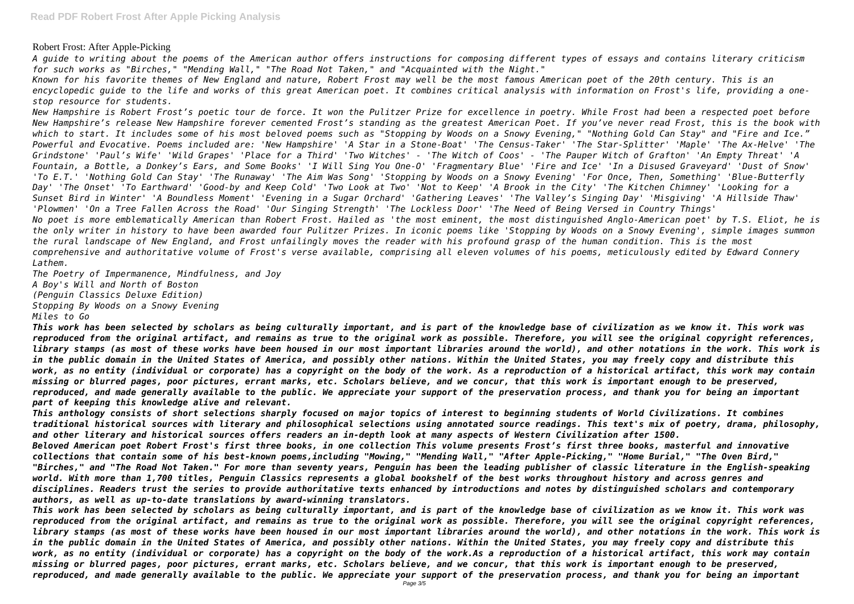Robert Frost: After Apple-Picking

*A guide to writing about the poems of the American author offers instructions for composing different types of essays and contains literary criticism for such works as "Birches," "Mending Wall," "The Road Not Taken," and "Acquainted with the Night."*

*Known for his favorite themes of New England and nature, Robert Frost may well be the most famous American poet of the 20th century. This is an encyclopedic guide to the life and works of this great American poet. It combines critical analysis with information on Frost's life, providing a onestop resource for students.*

*New Hampshire is Robert Frost's poetic tour de force. It won the Pulitzer Prize for excellence in poetry. While Frost had been a respected poet before New Hampshire's release New Hampshire forever cemented Frost's standing as the greatest American Poet. If you've never read Frost, this is the book with which to start. It includes some of his most beloved poems such as "Stopping by Woods on a Snowy Evening," "Nothing Gold Can Stay" and "Fire and Ice." Powerful and Evocative. Poems included are: 'New Hampshire' 'A Star in a Stone-Boat' 'The Census-Taker' 'The Star-Splitter' 'Maple' 'The Ax-Helve' 'The Grindstone' 'Paul's Wife' 'Wild Grapes' 'Place for a Third' 'Two Witches' - 'The Witch of Coos' - 'The Pauper Witch of Grafton' 'An Empty Threat' 'A Fountain, a Bottle, a Donkey's Ears, and Some Books' 'I Will Sing You One-O' 'Fragmentary Blue' 'Fire and Ice' 'In a Disused Graveyard' 'Dust of Snow' 'To E.T.' 'Nothing Gold Can Stay' 'The Runaway' 'The Aim Was Song' 'Stopping by Woods on a Snowy Evening' 'For Once, Then, Something' 'Blue-Butterfly Day' 'The Onset' 'To Earthward' 'Good-by and Keep Cold' 'Two Look at Two' 'Not to Keep' 'A Brook in the City' 'The Kitchen Chimney' 'Looking for a Sunset Bird in Winter' 'A Boundless Moment' 'Evening in a Sugar Orchard' 'Gathering Leaves' 'The Valley's Singing Day' 'Misgiving' 'A Hillside Thaw' 'Plowmen' 'On a Tree Fallen Across the Road' 'Our Singing Strength' 'The Lockless Door' 'The Need of Being Versed in Country Things' No poet is more emblematically American than Robert Frost. Hailed as 'the most eminent, the most distinguished Anglo-American poet' by T.S. Eliot, he is the only writer in history to have been awarded four Pulitzer Prizes. In iconic poems like 'Stopping by Woods on a Snowy Evening', simple images summon the rural landscape of New England, and Frost unfailingly moves the reader with his profound grasp of the human condition. This is the most comprehensive and authoritative volume of Frost's verse available, comprising all eleven volumes of his poems, meticulously edited by Edward Connery Lathem.*

*The Poetry of Impermanence, Mindfulness, and Joy*

*A Boy's Will and North of Boston*

*(Penguin Classics Deluxe Edition)*

*Stopping By Woods on a Snowy Evening*

*Miles to Go*

*This work has been selected by scholars as being culturally important, and is part of the knowledge base of civilization as we know it. This work was reproduced from the original artifact, and remains as true to the original work as possible. Therefore, you will see the original copyright references, library stamps (as most of these works have been housed in our most important libraries around the world), and other notations in the work. This work is in the public domain in the United States of America, and possibly other nations. Within the United States, you may freely copy and distribute this work, as no entity (individual or corporate) has a copyright on the body of the work. As a reproduction of a historical artifact, this work may contain missing or blurred pages, poor pictures, errant marks, etc. Scholars believe, and we concur, that this work is important enough to be preserved, reproduced, and made generally available to the public. We appreciate your support of the preservation process, and thank you for being an important part of keeping this knowledge alive and relevant.*

*This anthology consists of short selections sharply focused on major topics of interest to beginning students of World Civilizations. It combines traditional historical sources with literary and philosophical selections using annotated source readings. This text's mix of poetry, drama, philosophy, and other literary and historical sources offers readers an in-depth look at many aspects of Western Civilization after 1500. Beloved American poet Robert Frost's first three books, in one collection This volume presents Frost's first three books, masterful and innovative collections that contain some of his best-known poems,including "Mowing," "Mending Wall," "After Apple-Picking," "Home Burial," "The Oven Bird," "Birches," and "The Road Not Taken." For more than seventy years, Penguin has been the leading publisher of classic literature in the English-speaking world. With more than 1,700 titles, Penguin Classics represents a global bookshelf of the best works throughout history and across genres and disciplines. Readers trust the series to provide authoritative texts enhanced by introductions and notes by distinguished scholars and contemporary authors, as well as up-to-date translations by award-winning translators.*

*This work has been selected by scholars as being culturally important, and is part of the knowledge base of civilization as we know it. This work was reproduced from the original artifact, and remains as true to the original work as possible. Therefore, you will see the original copyright references, library stamps (as most of these works have been housed in our most important libraries around the world), and other notations in the work. This work is in the public domain in the United States of America, and possibly other nations. Within the United States, you may freely copy and distribute this work, as no entity (individual or corporate) has a copyright on the body of the work.As a reproduction of a historical artifact, this work may contain missing or blurred pages, poor pictures, errant marks, etc. Scholars believe, and we concur, that this work is important enough to be preserved, reproduced, and made generally available to the public. We appreciate your support of the preservation process, and thank you for being an important*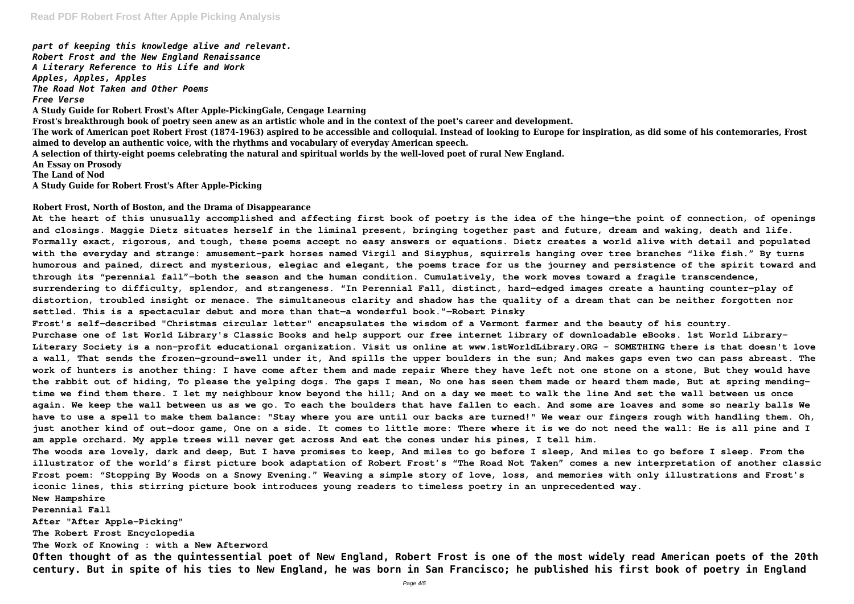*part of keeping this knowledge alive and relevant. Robert Frost and the New England Renaissance A Literary Reference to His Life and Work Apples, Apples, Apples The Road Not Taken and Other Poems Free Verse* **A Study Guide for Robert Frost's After Apple-PickingGale, Cengage Learning Frost's breakthrough book of poetry seen anew as an artistic whole and in the context of the poet's career and development. The work of American poet Robert Frost (1874-1963) aspired to be accessible and colloquial. Instead of looking to Europe for inspiration, as did some of his contemoraries, Frost aimed to develop an authentic voice, with the rhythms and vocabulary of everyday American speech. A selection of thirty-eight poems celebrating the natural and spiritual worlds by the well-loved poet of rural New England. An Essay on Prosody The Land of Nod A Study Guide for Robert Frost's After Apple-Picking**

# **Robert Frost, North of Boston, and the Drama of Disappearance**

**At the heart of this unusually accomplished and affecting first book of poetry is the idea of the hinge—the point of connection, of openings and closings. Maggie Dietz situates herself in the liminal present, bringing together past and future, dream and waking, death and life. Formally exact, rigorous, and tough, these poems accept no easy answers or equations. Dietz creates a world alive with detail and populated with the everyday and strange: amusement-park horses named Virgil and Sisyphus, squirrels hanging over tree branches "like fish." By turns humorous and pained, direct and mysterious, elegiac and elegant, the poems trace for us the journey and persistence of the spirit toward and through its "perennial fall"—both the season and the human condition. Cumulatively, the work moves toward a fragile transcendence, surrendering to difficulty, splendor, and strangeness. "In Perennial Fall, distinct, hard-edged images create a haunting counter-play of distortion, troubled insight or menace. The simultaneous clarity and shadow has the quality of a dream that can be neither forgotten nor settled. This is a spectacular debut and more than that—a wonderful book."—Robert Pinsky**

**Frost's self-described "Christmas circular letter" encapsulates the wisdom of a Vermont farmer and the beauty of his country. Purchase one of 1st World Library's Classic Books and help support our free internet library of downloadable eBooks. 1st World Library-Literary Society is a non-profit educational organization. Visit us online at www.1stWorldLibrary.ORG - SOMETHING there is that doesn't love a wall, That sends the frozen-ground-swell under it, And spills the upper boulders in the sun; And makes gaps even two can pass abreast. The work of hunters is another thing: I have come after them and made repair Where they have left not one stone on a stone, But they would have the rabbit out of hiding, To please the yelping dogs. The gaps I mean, No one has seen them made or heard them made, But at spring mendingtime we find them there. I let my neighbour know beyond the hill; And on a day we meet to walk the line And set the wall between us once again. We keep the wall between us as we go. To each the boulders that have fallen to each. And some are loaves and some so nearly balls We have to use a spell to make them balance: "Stay where you are until our backs are turned!" We wear our fingers rough with handling them. Oh, just another kind of out-door game, One on a side. It comes to little more: There where it is we do not need the wall: He is all pine and I am apple orchard. My apple trees will never get across And eat the cones under his pines, I tell him.**

**The woods are lovely, dark and deep, But I have promises to keep, And miles to go before I sleep, And miles to go before I sleep. From the illustrator of the world's first picture book adaptation of Robert Frost's "The Road Not Taken" comes a new interpretation of another classic Frost poem: "Stopping By Woods on a Snowy Evening." Weaving a simple story of love, loss, and memories with only illustrations and Frost's iconic lines, this stirring picture book introduces young readers to timeless poetry in an unprecedented way. New Hampshire**

**Perennial Fall After "After Apple-Picking" The Robert Frost Encyclopedia The Work of Knowing : with a New Afterword Often thought of as the quintessential poet of New England, Robert Frost is one of the most widely read American poets of the 20th century. But in spite of his ties to New England, he was born in San Francisco; he published his first book of poetry in England**